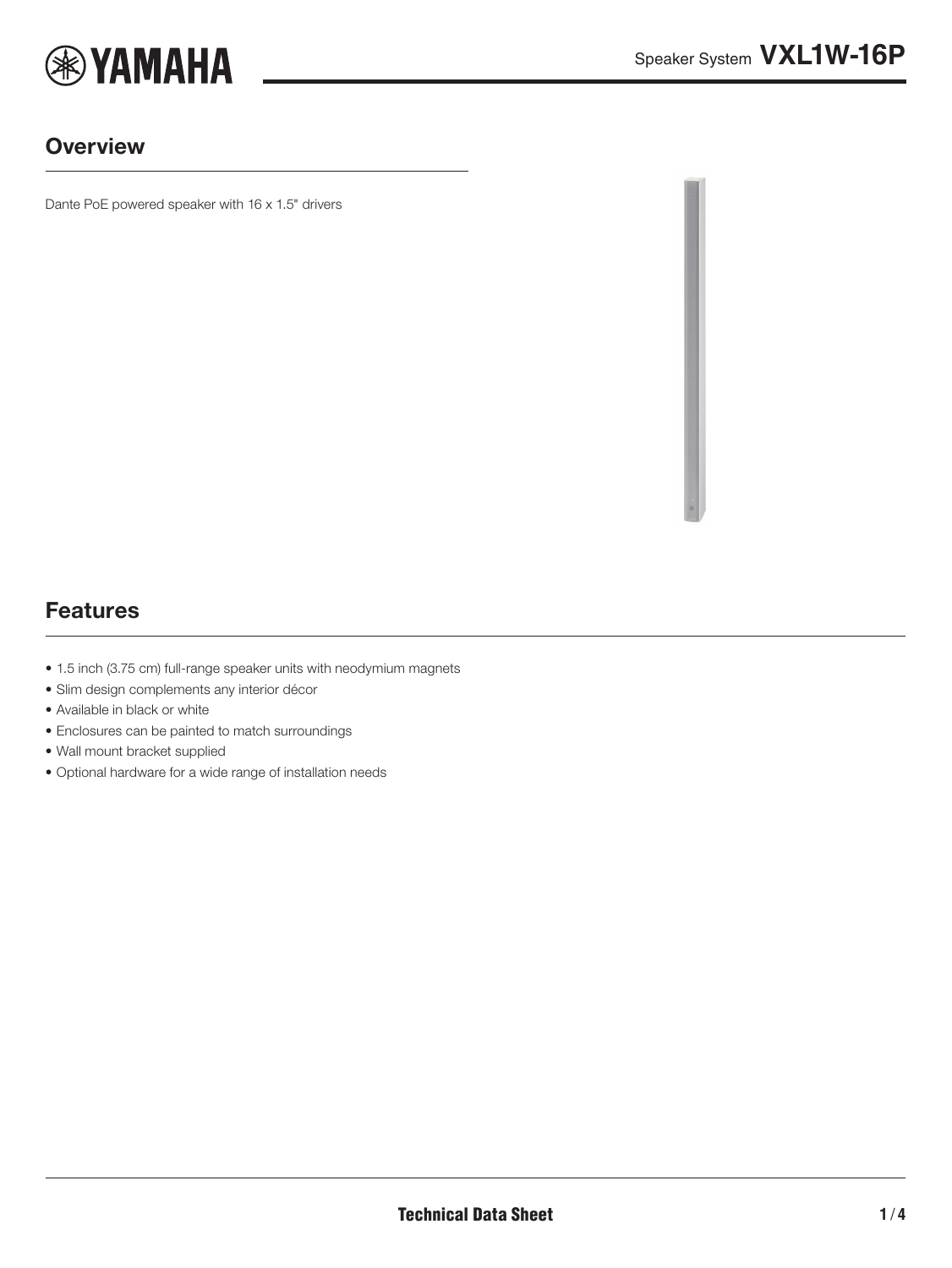

#### **Overview**

Dante PoE powered speaker with 16 x 1.5" drivers

### Features

- 1.5 inch (3.75 cm) full-range speaker units with neodymium magnets
- Slim design complements any interior décor
- Available in black or white
- Enclosures can be painted to match surroundings
- Wall mount bracket supplied
- Optional hardware for a wide range of installation needs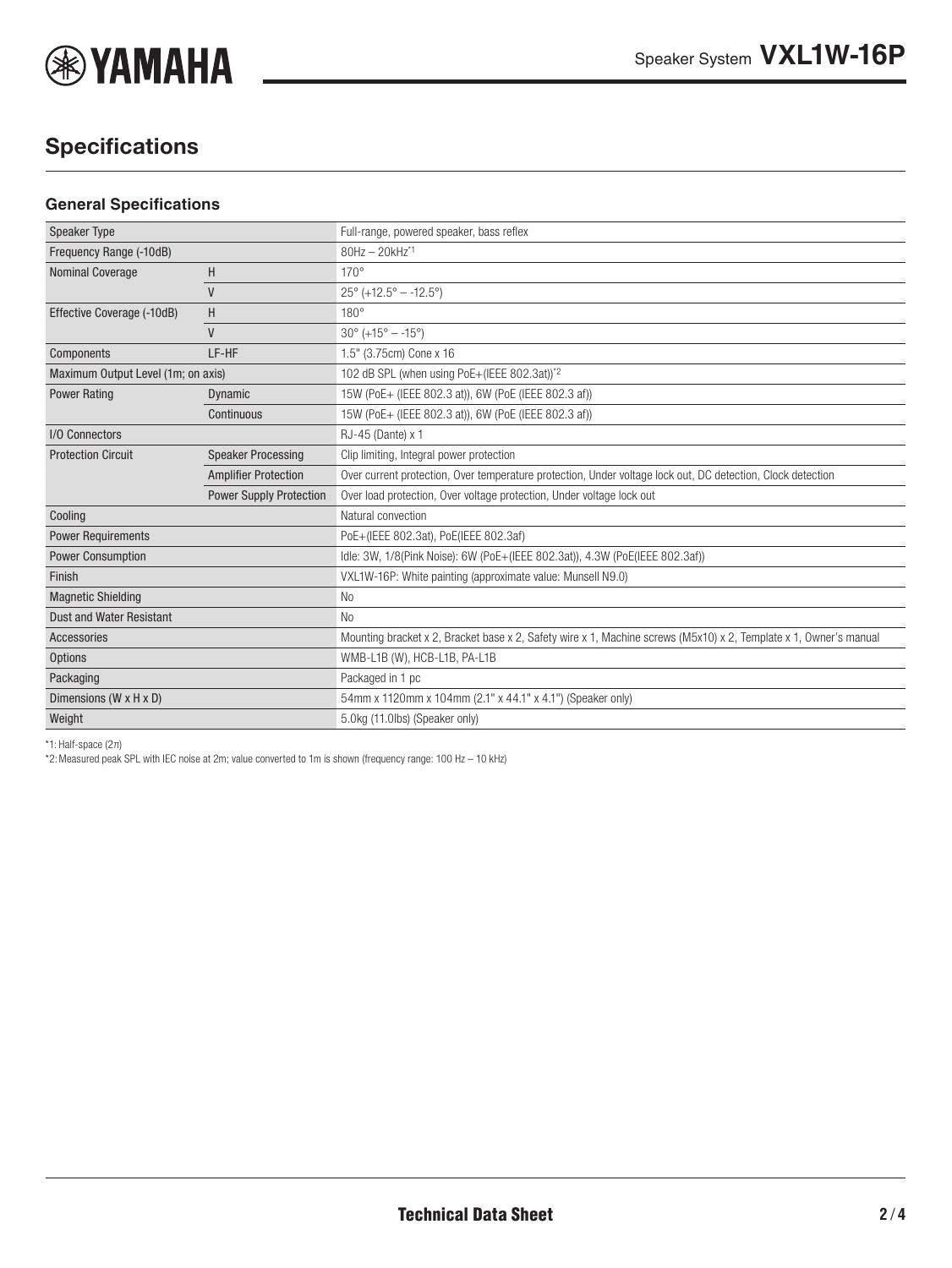

# **Specifications**

#### **General Specifications**

| <b>Speaker Type</b>                |                                | Full-range, powered speaker, bass reflex                                                                          |
|------------------------------------|--------------------------------|-------------------------------------------------------------------------------------------------------------------|
| Frequency Range (-10dB)            |                                | 80Hz - 20kHz*1                                                                                                    |
| <b>Nominal Coverage</b>            | H                              | $170^\circ$                                                                                                       |
|                                    | $\mathsf{V}$                   | $25^{\circ}$ (+12.5° - -12.5°)                                                                                    |
| Effective Coverage (-10dB)         | H                              | $180^\circ$                                                                                                       |
|                                    | $\mathsf{V}$                   | $30^{\circ}$ (+15° - -15°)                                                                                        |
| Components                         | LF-HF                          | 1.5" (3.75cm) Cone x 16                                                                                           |
| Maximum Output Level (1m; on axis) |                                | 102 dB SPL (when using PoE+(IEEE 802.3at))*2                                                                      |
| <b>Power Rating</b>                | Dynamic                        | 15W (PoE+ (IEEE 802.3 at)), 6W (PoE (IEEE 802.3 af))                                                              |
|                                    | Continuous                     | 15W (PoE+ (IEEE 802.3 at)), 6W (PoE (IEEE 802.3 af))                                                              |
| I/O Connectors                     |                                | RJ-45 (Dante) x 1                                                                                                 |
| <b>Protection Circuit</b>          | <b>Speaker Processing</b>      | Clip limiting, Integral power protection                                                                          |
|                                    | <b>Amplifier Protection</b>    | Over current protection, Over temperature protection, Under voltage lock out, DC detection, Clock detection       |
|                                    | <b>Power Supply Protection</b> | Over load protection, Over voltage protection, Under voltage lock out                                             |
| Cooling                            |                                | Natural convection                                                                                                |
| <b>Power Requirements</b>          |                                | PoE+(IEEE 802.3at), PoE(IEEE 802.3af)                                                                             |
| <b>Power Consumption</b>           |                                | Idle: 3W, 1/8(Pink Noise): 6W (PoE+(IEEE 802.3at)), 4.3W (PoE(IEEE 802.3af))                                      |
| Finish                             |                                | VXL1W-16P: White painting (approximate value: Munsell N9.0)                                                       |
| <b>Magnetic Shielding</b>          |                                | N <sub>o</sub>                                                                                                    |
| <b>Dust and Water Resistant</b>    |                                | No.                                                                                                               |
| <b>Accessories</b>                 |                                | Mounting bracket x 2, Bracket base x 2, Safety wire x 1, Machine screws (M5x10) x 2, Template x 1, Owner's manual |
| <b>Options</b>                     |                                | WMB-L1B (W), HCB-L1B, PA-L1B                                                                                      |
| Packaging                          |                                | Packaged in 1 pc                                                                                                  |
| Dimensions (W x H x D)             |                                | 54mm x 1120mm x 104mm (2.1" x 44.1" x 4.1") (Speaker only)                                                        |
| Weight                             |                                | 5.0kg (11.0lbs) (Speaker only)                                                                                    |
|                                    |                                |                                                                                                                   |

\*1: Half-space (2π)

\*2:Measured peak SPL with IEC noise at 2m; value converted to 1m is shown (frequency range: 100 Hz – 10 kHz)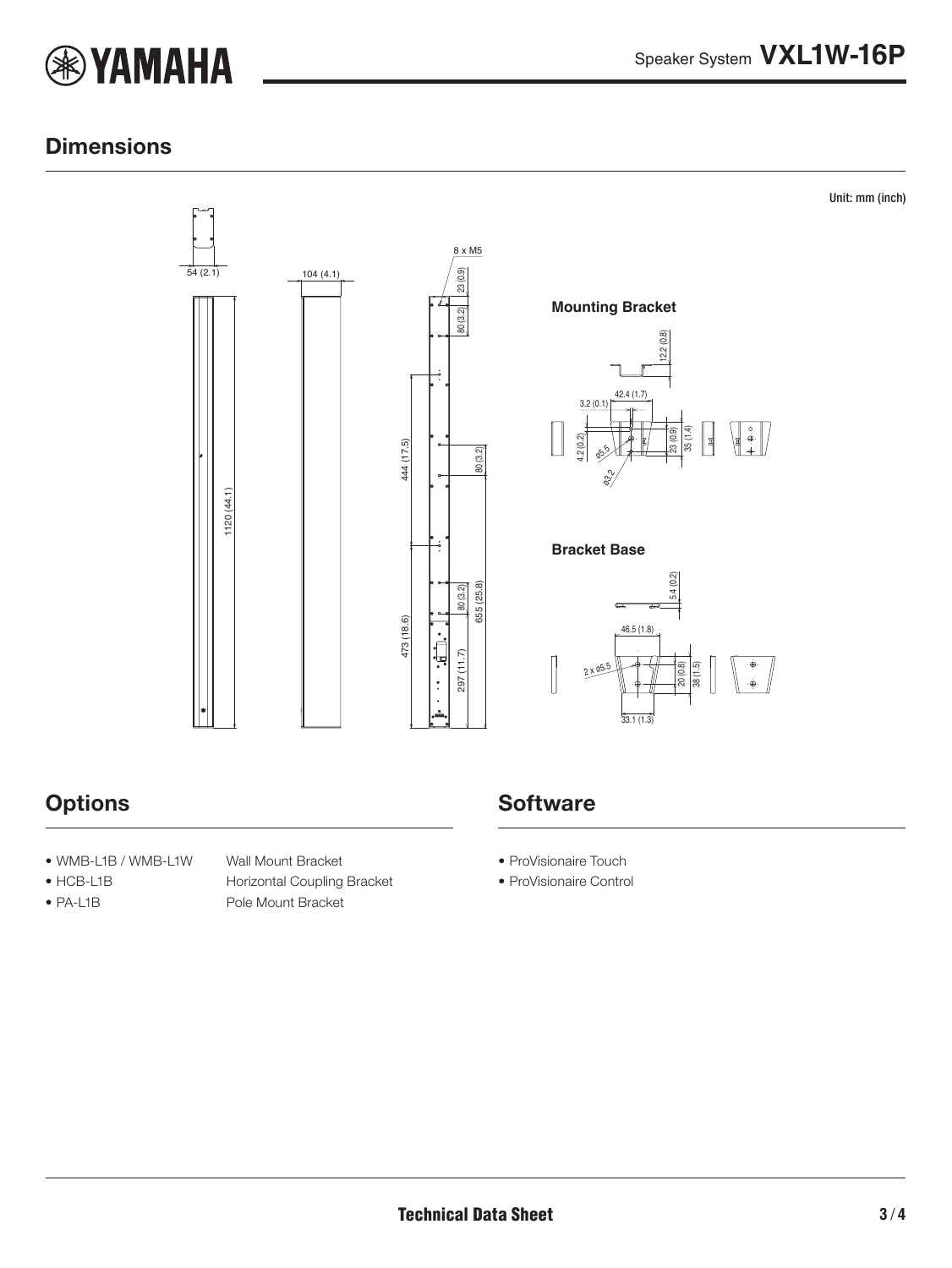

Unit: mm (inch)

### **Dimensions**



### **Options**

- WMB-L1B / WMB-L1W Wall Mount Bracket
- 
- 

• HCB-L1B Horizontal Coupling Bracket • PA-L1B Pole Mount Bracket

## **Software**

- ProVisionaire Touch
- ProVisionaire Control